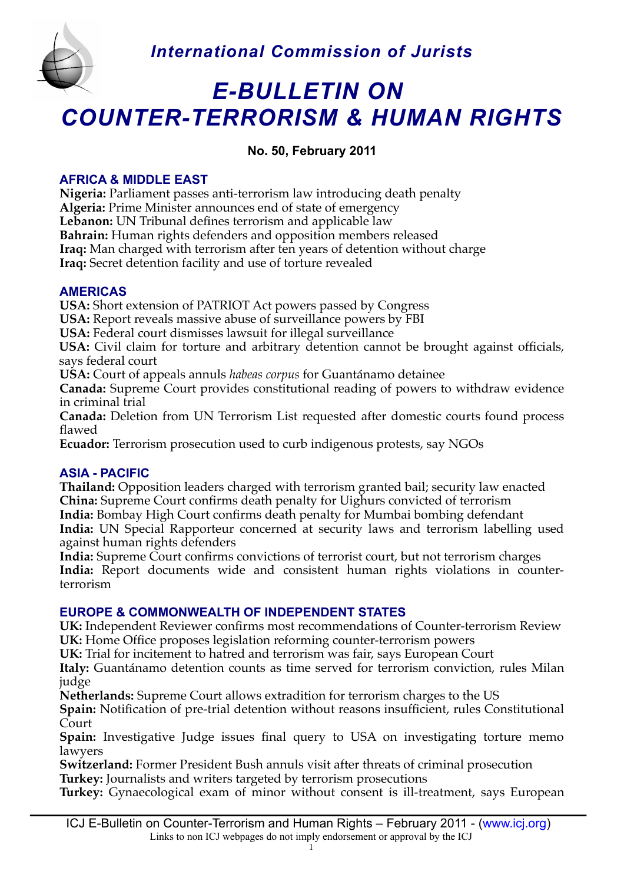

# *E-BULLETIN ON COUNTER-TERRORISM & HUMAN RIGHTS*

# **No. 50, February 2011**

# **AFRICA & MIDDLE EAST**

**Nigeria:** Parliament passes anti-terrorism law introducing death penalty **Algeria:** Prime Minister announces end of state of emergency Lebanon: UN Tribunal defines terrorism and applicable law **Bahrain:** Human rights defenders and opposition members released **Iraq:** Man charged with terrorism after ten years of detention without charge **Iraq:** Secret detention facility and use of torture revealed

# **AMERICAS**

**USA:** Short extension of PATRIOT Act powers passed by Congress

**USA:** Report reveals massive abuse of surveillance powers by FBI

**USA:** Federal court dismisses lawsuit for illegal surveillance

**USA:** Civil claim for torture and arbitrary detention cannot be brought against officials, says federal court

**USA:** Court of appeals annuls *habeas corpus* for Guantánamo detainee

**Canada:** Supreme Court provides constitutional reading of powers to withdraw evidence in criminal trial

**Canada:** Deletion from UN Terrorism List requested after domestic courts found process flawed

**Ecuador:** Terrorism prosecution used to curb indigenous protests, say NGOs

# **ASIA - PACIFIC**

**Thailand:** Opposition leaders charged with terrorism granted bail; security law enacted **China:** Supreme Court confrms death penalty for Uighurs convicted of terrorism **India:** Bombay High Court confrms death penalty for Mumbai bombing defendant **India:** UN Special Rapporteur concerned at security laws and terrorism labelling used against human rights defenders

**India:** Supreme Court confrms convictions of terrorist court, but not terrorism charges **India:** Report documents wide and consistent human rights violations in counterterrorism

# **EUROPE & COMMONWEALTH OF INDEPENDENT STATES**

**UK:** Independent Reviewer confrms most recommendations of Counter-terrorism Review UK: Home Office proposes legislation reforming counter-terrorism powers

**UK:** Trial for incitement to hatred and terrorism was fair, says European Court

**Italy:** Guantánamo detention counts as time served for terrorism conviction, rules Milan judge

**Netherlands:** Supreme Court allows extradition for terrorism charges to the US

**Spain:** Notification of pre-trial detention without reasons insufficient, rules Constitutional Court

**Spain:** Investigative Judge issues final query to USA on investigating torture memo lawyers

**Switzerland:** Former President Bush annuls visit after threats of criminal prosecution **Turkey:** Journalists and writers targeted by terrorism prosecutions

**Turkey:** Gynaecological exam of minor without consent is ill-treatment, says European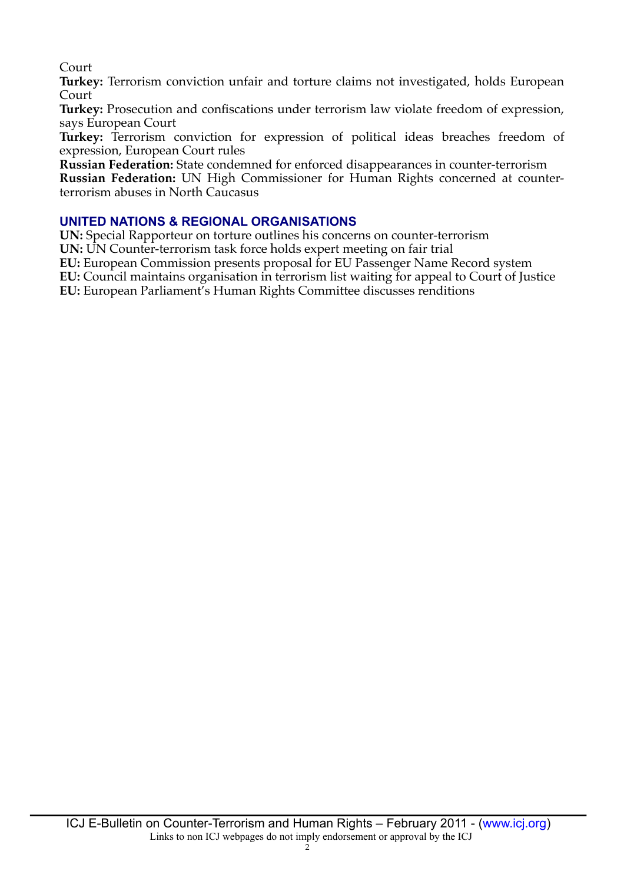Court

**Turkey:** Terrorism conviction unfair and torture claims not investigated, holds European Court

**Turkey:** Prosecution and confscations under terrorism law violate freedom of expression, says European Court

**Turkey:** Terrorism conviction for expression of political ideas breaches freedom of expression, European Court rules

**Russian Federation:** State condemned for enforced disappearances in counter-terrorism

**Russian Federation:** UN High Commissioner for Human Rights concerned at counterterrorism abuses in North Caucasus

# **UNITED NATIONS & REGIONAL ORGANISATIONS**

**UN:** Special Rapporteur on torture outlines his concerns on counter-terrorism **UN:** UN Counter-terrorism task force holds expert meeting on fair trial **EU:** European Commission presents proposal for EU Passenger Name Record system **EU:** Council maintains organisation in terrorism list waiting for appeal to Court of Justice

**EU:** European Parliament's Human Rights Committee discusses renditions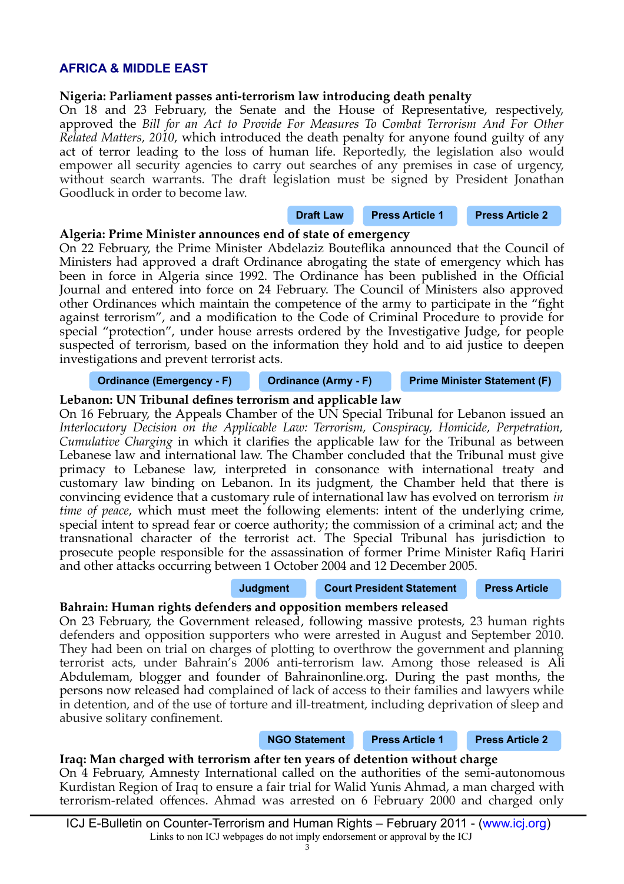# **AFRICA & MIDDLE EAST**

#### **Nigeria: Parliament passes anti-terrorism law introducing death penalty**

On 18 and 23 February, the Senate and the House of Representative, respectively, approved the *Bill for an Act to Provide For Measures To Combat Terrorism And For Other Related Matters, 2010*, which introduced the death penalty for anyone found guilty of any act of terror leading to the loss of human life. Reportedly, the legislation also would empower all security agencies to carry out searches of any premises in case of urgency, without search warrants. The draft legislation must be signed by President Jonathan Goodluck in order to become law.

# **[Draft Law](http://www.icj.org/IMG/hb_322.pdf) [Press Article 1](http://www.vanguardngr.com/2011/02/senate-prescribes-death-for-terror/?utm_source=feedburner&utm_medium=feed&utm_campaign=Feed%3A+vanguardngr%2FdIeb+%28Vanguard+News+Feed%29) [Press Article 2](http://www.vanguardngr.com/2011/02/house-passes-anti-terrorism-bill/?utm_source=feedburner&utm_medium=feed&utm_campaign=Feed%3A+vanguardngr%2FdIeb+%28Vanguard+News+Feed%29)**

#### **Algeria: Prime Minister announces end of state of emergency**

On 22 February, the Prime Minister Abdelaziz Boutefika announced that the Council of Ministers had approved a draft Ordinance abrogating the state of emergency which has been in force in Algeria since 1992. The Ordinance has been published in the Official Journal and entered into force on 24 February. The Council of Ministers also approved other Ordinances which maintain the competence of the army to participate in the "fght against terrorism", and a modifcation to the Code of Criminal Procedure to provide for special "protection", under house arrests ordered by the Investigative Judge, for people suspected of terrorism, based on the information they hold and to aid justice to deepen investigations and prevent terrorist acts.

#### **[Ordinance \(Emergency - F\)](http://www.algeria-watch.org/pdf/pdf_fr/23_02_11_levee_etat_urgence.pdf) [Ordinance \(Army - F\)](http://www.algeria-watch.org/pdf/pdf_fr/23_02_11_attributions_armee.pdf) [Prime Minister Statement \(F\)](http://www.premier-ministre.gov.dz/index.php?option=com_content&task=view&id=1561&Itemid=261)**

# **Lebanon: UN Tribunal defnes terrorism and applicable law**

On 16 February, the Appeals Chamber of the UN Special Tribunal for Lebanon issued an *Interlocutory Decision on the Applicable Law: Terrorism, Conspiracy, Homicide, Perpetration, Cumulative Charging* in which it clarifes the applicable law for the Tribunal as between Lebanese law and international law. The Chamber concluded that the Tribunal must give primacy to Lebanese law, interpreted in consonance with international treaty and customary law binding on Lebanon. In its judgment, the Chamber held that there is convincing evidence that a customary rule of international law has evolved on terrorism *in time of peace*, which must meet the following elements: intent of the underlying crime, special intent to spread fear or coerce authority; the commission of a criminal act; and the transnational character of the terrorist act. The Special Tribunal has jurisdiction to prosecute people responsible for the assassination of former Prime Minister Rafiq Hariri and other attacks occurring between 1 October 2004 and 12 December 2005.

**[Judgment](http://www.stl-tsl.org/x/file/TheRegistry/Library/CaseFiles/chambers/20110216_STL-11-01_R176bis_F0010_AC_Interlocutory_Decision_Filed_EN.pdf) [Court President Statement](http://www.stl-tsl.org/x/file/News/Summary%20of%20Decision_16%20February%20%28EN%29.pdf) [Press Article](http://www.spiegel.de/international/world/0,1518,746835,00.html#ref=nlint)**

# **Bahrain: Human rights defenders and opposition members released**

On 23 February, the Government released, following massive protests, 23 human rights defenders and opposition supporters who were arrested in August and September 2010. They had been on trial on charges of plotting to overthrow the government and planning terrorist acts, under Bahrain's 2006 anti-terrorism law. Among those released is Ali Abdulemam, blogger and founder of Bahrainonline.org. During the past months, the persons now released had complained of lack of access to their families and lawyers while in detention, and of the use of torture and ill-treatment, including deprivation of sleep and abusive solitary confnement.

**[NGO Statement](http://www.frontlinedefenders.org/files/Press%20Release%20re%20release%20of%20Ali%20Abdulemam%20in%20Bahrain.pdf) [Press Article 1](http://www.swissinfo.ch/eng/news/international/Bahrain_frees_prisoners_to_mollify_protesters.html?cid=29563772) [Press Article 2](http://english.aljazeera.net/news/middleeast/2011/02/20112238343514111.html)**

#### **Iraq: Man charged with terrorism after ten years of detention without charge**

On 4 February, Amnesty International called on the authorities of the semi-autonomous Kurdistan Region of Iraq to ensure a fair trial for Walid Yunis Ahmad, a man charged with terrorism-related offences. Ahmad was arrested on 6 February 2000 and charged only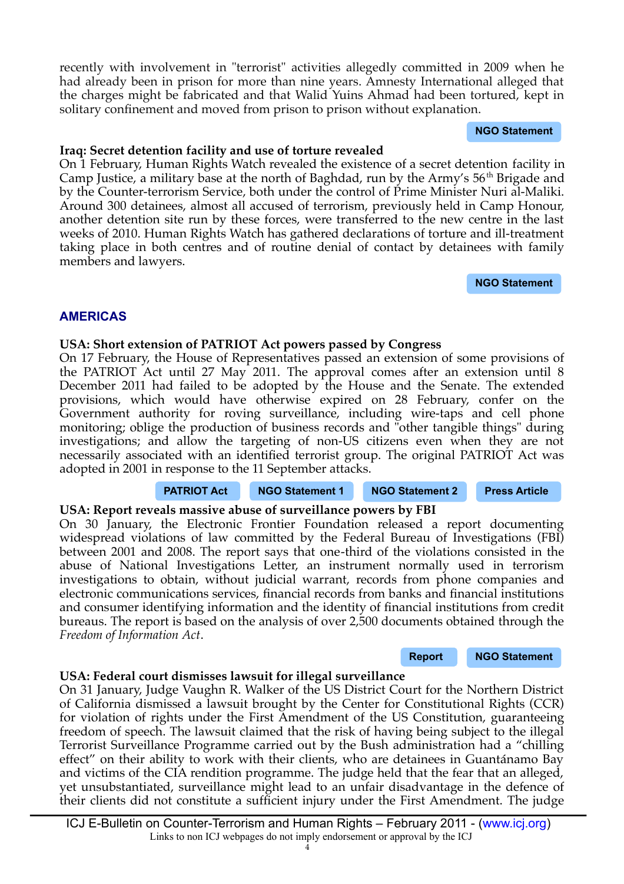ICJ E-Bulletin on Counter-Terrorism and Human Rights – February 2011 - [\(www.icj.org\)](http://www.icj.org/) Links to non ICJ webpages do not imply endorsement or approval by the ICJ

recently with involvement in "terrorist" activities allegedly committed in 2009 when he had already been in prison for more than nine years. Amnesty International alleged that the charges might be fabricated and that Walid Yuins Ahmad had been tortured, kept in solitary confnement and moved from prison to prison without explanation.

**[NGO Statement](http://www.amnesty.org/en/news-and-updates/kurdistan-authorities-must-ensure-fair-trial-man-held-11-years-2011-02-04)**

#### **Iraq: Secret detention facility and use of torture revealed**

On 1 February, Human Rights Watch revealed the existence of a secret detention facility in Camp Justice, a military base at the north of Baghdad, run by the Army's 56<sup>th</sup> Brigade and by the Counter-terrorism Service, both under the control of Prime Minister Nuri al-Maliki. Around 300 detainees, almost all accused of terrorism, previously held in Camp Honour, another detention site run by these forces, were transferred to the new centre in the last weeks of 2010. Human Rights Watch has gathered declarations of torture and ill-treatment taking place in both centres and of routine denial of contact by detainees with family members and lawyers.

**[NGO Statement](http://www.hrw.org/en/news/2011/02/01/iraq-secret-jail-uncovered-baghdad)**

# **AMERICAS**

# **USA: Short extension of PATRIOT Act powers passed by Congress**

On 17 February, the House of Representatives passed an extension of some provisions of the PATRIOT Act until 27 May 2011. The approval comes after an extension until 8 December 2011 had failed to be adopted by the House and the Senate. The extended provisions, which would have otherwise expired on 28 February, confer on the Government authority for roving surveillance, including wire-taps and cell phone monitoring; oblige the production of business records and "other tangible things" during investigations; and allow the targeting of non-US citizens even when they are not necessarily associated with an identifed terrorist group. The original PATRIOT Act was adopted in 2001 in response to the 11 September attacks.

# **[PATRIOT Act](http://epic.org/privacy/terrorism/hr3162.html) [NGO Statement 1](http://www.aclu.org/national-security/senate-passes-short-term-extension-troublesome-patriot-act-provisions) [NGO Statement 2](http://www.aclu.org/national-security/house-passes-three-month-patriot-act-extension) [Press Article](http://news.yahoo.com/s/nm/20110215/pl_nm/us_usa_security_congress)**

# **USA: Report reveals massive abuse of surveillance powers by FBI**

On 30 January, the Electronic Frontier Foundation released a report documenting widespread violations of law committed by the Federal Bureau of Investigations (FBI) between 2001 and 2008. The report says that one-third of the violations consisted in the abuse of National Investigations Letter, an instrument normally used in terrorism investigations to obtain, without judicial warrant, records from phone companies and electronic communications services, fnancial records from banks and fnancial institutions and consumer identifying information and the identity of fnancial institutions from credit bureaus. The report is based on the analysis of over 2,500 documents obtained through the *Freedom of Information Act*.

**[Report](https://www.eff.org/files/EFF%20IOB%20Report_0.pdf) [NGO Statement](https://www.eff.org/deeplinks/2011/01/eff-releases-report-detailing-fbi-intelligence)**

# **USA: Federal court dismisses lawsuit for illegal surveillance**

On 31 January, Judge Vaughn R. Walker of the US District Court for the Northern District of California dismissed a lawsuit brought by the Center for Constitutional Rights (CCR) for violation of rights under the First Amendment of the US Constitution, guaranteeing freedom of speech. The lawsuit claimed that the risk of having being subject to the illegal Terrorist Surveillance Programme carried out by the Bush administration had a "chilling effect" on their ability to work with their clients, who are detainees in Guantánamo Bay and victims of the CIA rendition programme. The judge held that the fear that an alleged, yet unsubstantiated, surveillance might lead to an unfair disadvantage in the defence of their clients did not constitute a sufficient injury under the First Amendment. The judge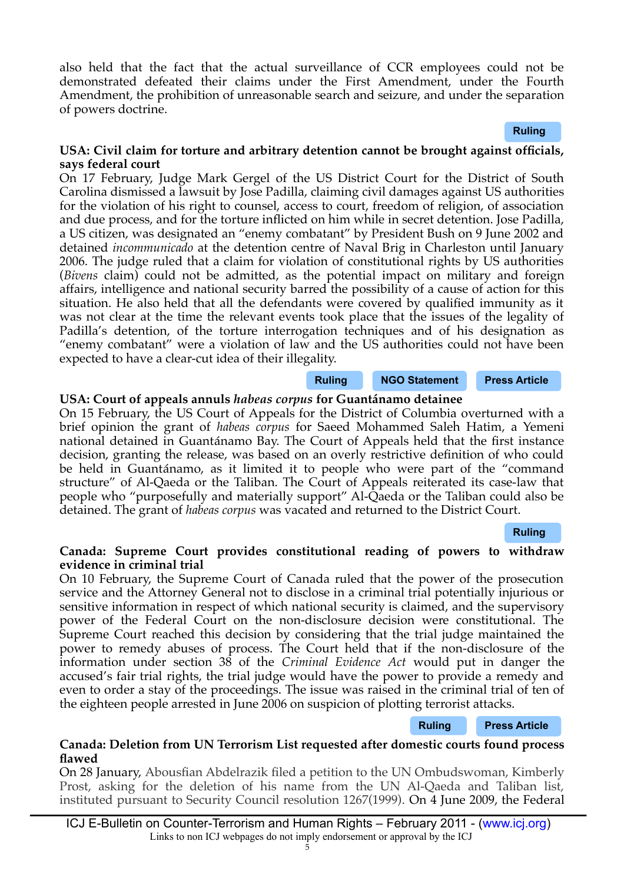also held that the fact that the actual surveillance of CCR employees could not be demonstrated defeated their claims under the First Amendment, under the Fourth Amendment, the prohibition of unreasonable search and seizure, and under the separation of powers doctrine.

#### **[Ruling](http://ccrjustice.org/files/OPINION.pdf)**

#### USA: Civil claim for torture and arbitrary detention cannot be brought against officials, **says federal court**

On 17 February, Judge Mark Gergel of the US District Court for the District of South Carolina dismissed a lawsuit by Jose Padilla, claiming civil damages against US authorities for the violation of his right to counsel, access to court, freedom of religion, of association and due process, and for the torture inficted on him while in secret detention. Jose Padilla, a US citizen, was designated an "enemy combatant" by President Bush on 9 June 2002 and detained *incommunicado* at the detention centre of Naval Brig in Charleston until January 2006. The judge ruled that a claim for violation of constitutional rights by US authorities (*Bivens* claim) could not be admitted, as the potential impact on military and foreign affairs, intelligence and national security barred the possibility of a cause of action for this situation. He also held that all the defendants were covered by qualifed immunity as it was not clear at the time the relevant events took place that the issues of the legality of Padilla's detention, of the torture interrogation techniques and of his designation as "enemy combatant" were a violation of law and the US authorities could not have been expected to have a clear-cut idea of their illegality.

#### **[Ruling](http://jurist.org/paperchase/Padilla%20v.%20Rumsfeld%20%282.17.11%29.pdf) [NGO Statement](http://www.aclu.org/national-security/blow-rule-law-court-dismisses-lawsuit-hold-former-government-officials-accountable) [Press Article](http://www.bbc.co.uk/news/world-us-canada-12501627)**

# **USA: Court of appeals annuls** *habeas corpus* **for Guantánamo detainee**

On 15 February, the US Court of Appeals for the District of Columbia overturned with a brief opinion the grant of *habeas corpus* for Saeed Mohammed Saleh Hatim, a Yemeni national detained in Guantánamo Bay. The Court of Appeals held that the frst instance decision, granting the release, was based on an overly restrictive defnition of who could be held in Guantánamo, as it limited it to people who were part of the "command structure" of Al-Qaeda or the Taliban. The Court of Appeals reiterated its case-law that people who "purposefully and materially support" Al-Qaeda or the Taliban could also be detained. The grant of *habeas corpus* was vacated and returned to the District Court.

#### **[Ruling](http://www.cadc.uscourts.gov/internet/opinions.nsf/613E63D2504AE871852578380054312E/$file/10-5048-1293249.pdf)**

#### **Canada: Supreme Court provides constitutional reading of powers to withdraw evidence in criminal trial**

On 10 February, the Supreme Court of Canada ruled that the power of the prosecution service and the Attorney General not to disclose in a criminal trial potentially injurious or sensitive information in respect of which national security is claimed, and the supervisory power of the Federal Court on the non-disclosure decision were constitutional. The Supreme Court reached this decision by considering that the trial judge maintained the power to remedy abuses of process. The Court held that if the non-disclosure of the information under section 38 of the *Criminal Evidence Act* would put in danger the accused's fair trial rights, the trial judge would have the power to provide a remedy and even to order a stay of the proceedings. The issue was raised in the criminal trial of ten of the eighteen people arrested in June 2006 on suspicion of plotting terrorist attacks.

#### **[Ruling](http://scc.lexum.umontreal.ca/en/2011/2011scc6/2011scc6.html) [Press Article](http://www.canada.com/news/Government+withhold+secret+evidence+terror+trial+court/4258134/story.html#ixzz1E2PhS05C)**

#### **Canada: Deletion from UN Terrorism List requested after domestic courts found process fawed**

On 28 January, Abousfan Abdelrazik fled a petition to the UN Ombudswoman, Kimberly Prost, asking for the deletion of his name from the UN Al-Qaeda and Taliban list, instituted pursuant to Security Council resolution 1267(1999). On 4 June 2009, the Federal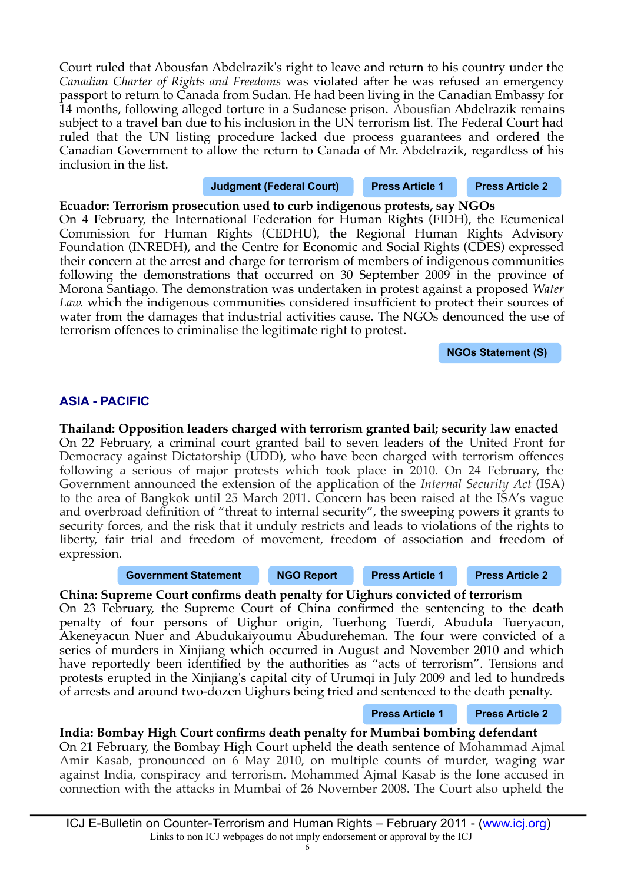Court ruled that Abousfan Abdelrazik's right to leave and return to his country under the *Canadian Charter of Rights and Freedoms* was violated after he was refused an emergency passport to return to Canada from Sudan. He had been living in the Canadian Embassy for 14 months, following alleged torture in a Sudanese prison. Abousfan Abdelrazik remains subject to a travel ban due to his inclusion in the UN terrorism list. The Federal Court had ruled that the UN listing procedure lacked due process guarantees and ordered the Canadian Government to allow the return to Canada of Mr. Abdelrazik, regardless of his inclusion in the list.

**[Judgment \(Federal Court\)](http://decisions.fct-cf.gc.ca/en/2009/2009fc580/2009fc580.html) [Press Article 1](http://www.canada.com/news/Abdelrazik+appeals+list/4187497/story.html) [Press Article 2](http://www.montrealgazette.com/news/Montrealer+appeals+have+name+removed+from+list/4189874/story.html)**

**Ecuador: Terrorism prosecution used to curb indigenous protests, say NGOs** On 4 February, the International Federation for Human Rights (FIDH), the Ecumenical Commission for Human Rights (CEDHU), the Regional Human Rights Advisory Foundation (INREDH), and the Centre for Economic and Social Rights (CDES) expressed their concern at the arrest and charge for terrorism of members of indigenous communities following the demonstrations that occurred on 30 September 2009 in the province of Morona Santiago. The demonstration was undertaken in protest against a proposed *Water Law.* which the indigenous communities considered insufficient to protect their sources of water from the damages that industrial activities cause. The NGOs denounced the use of terrorism offences to criminalise the legitimate right to protest.

**[NGOs Statement \(S\)](http://www.inredh.org/archivos/boletines/pronunciamiento_indigenas_terroristas.pdf)**

# **ASIA - PACIFIC**

**Thailand: Opposition leaders charged with terrorism granted bail; security law enacted** On 22 February, a criminal court granted bail to seven leaders of the United Front for Democracy against Dictatorship (UDD), who have been charged with terrorism offences following a serious of major protests which took place in 2010. On 24 February, the Government announced the extension of the application of the *Internal Security Act* (ISA) to the area of Bangkok until 25 March 2011. Concern has been raised at the ISA's vague and overbroad defnition of "threat to internal security", the sweeping powers it grants to security forces, and the risk that it unduly restricts and leads to violations of the rights to liberty, fair trial and freedom of movement, freedom of association and freedom of expression.

#### **[Government Statement](http://thailand.prd.go.th/view_inside.php?id=5537) [NGO Report](http://icj.org/IMG/REPORT-ISA-THAILAND.pdf) [Press Article 1](http://bangkokpost.co.th/news/local/222950/bail-sought-for-red-leaders-in-other-cases) [Press Article 2](http://www.bangkokpost.com/news/local/222370/thailand-terrorism-law-goes-too-far)**

# **China: Supreme Court confrms death penalty for Uighurs convicted of terrorism**

On 23 February, the Supreme Court of China confrmed the sentencing to the death penalty of four persons of Uighur origin, Tuerhong Tuerdi, Abudula Tueryacun, Akeneyacun Nuer and Abudukaiyoumu Abudureheman. The four were convicted of a series of murders in Xinjiang which occurred in August and November 2010 and which have reportedly been identified by the authorities as "acts of terrorism". Tensions and protests erupted in the Xinjiang's capital city of Urumqi in July 2009 and led to hundreds of arrests and around two-dozen Uighurs being tried and sentenced to the death penalty.

**[Press Article 1](http://www.hurriyetdailynews.com/n.php?n=china-to-execute-4-accused-in-xinjiang-violence-2011-02-23) [Press Article 2](http://www.rttnews.com/Content/MarketSensitiveNews.aspx?Id=1560538&SimRec=1&Node=)**

# **India: Bombay High Court confrms death penalty for Mumbai bombing defendant**

On 21 February, the Bombay High Court upheld the death sentence of Mohammad Ajmal Amir Kasab, pronounced on 6 May 2010, on multiple counts of murder, waging war against India, conspiracy and terrorism. Mohammed Ajmal Kasab is the lone accused in connection with the attacks in Mumbai of 26 November 2008. The Court also upheld the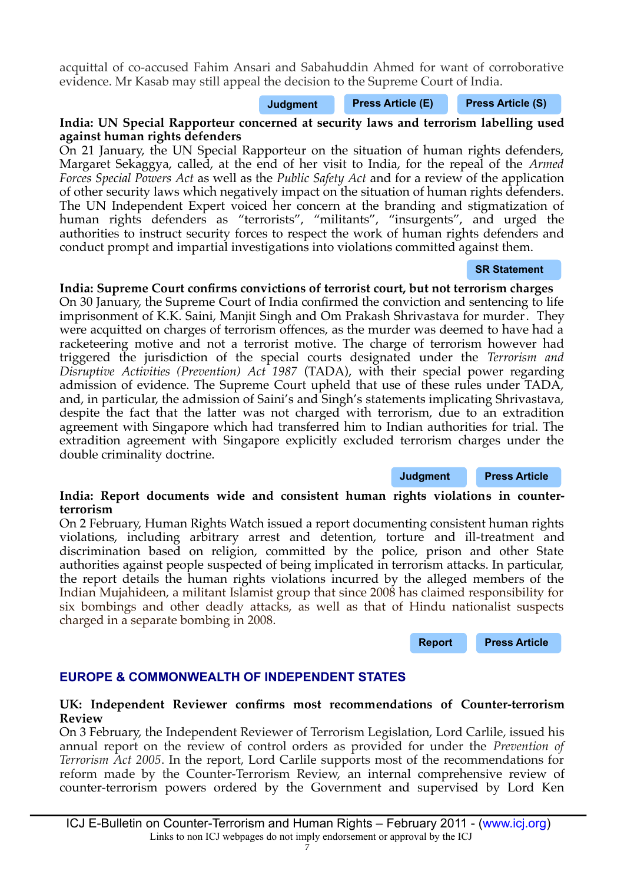acquittal of co-accused Fahim Ansari and Sabahuddin Ahmed for want of corroborative evidence. Mr Kasab may still appeal the decision to the Supreme Court of India.

**[Judgment](http://bombayhighcourt.nic.in/CR1CONF210.pdf) [Press Article \(E\)](http://www.thehindu.com/news/national/article1476773.ece) [Press Article \(S\)](http://www.elpais.com/articulo/internacional/India/confirma/pena/muerte/unico/detenido/atentado/Bombay/elpepuint/20110221elpepuint_8/Tes)**

**India: UN Special Rapporteur concerned at security laws and terrorism labelling used against human rights defenders**

On 21 January, the UN Special Rapporteur on the situation of human rights defenders, Margaret Sekaggya, called, at the end of her visit to India, for the repeal of the *Armed Forces Special Powers Act* as well as the *Public Safety Act* and for a review of the application of other security laws which negatively impact on the situation of human rights defenders. The UN Independent Expert voiced her concern at the branding and stigmatization of human rights defenders as "terrorists", "militants", "insurgents", and urged the authorities to instruct security forces to respect the work of human rights defenders and conduct prompt and impartial investigations into violations committed against them.

#### **[SR Statement](http://www.ohchr.org/en/NewsEvents/Pages/DisplayNews.aspx?NewsID=10664&LangID=E)**

# **India: Supreme Court confrms convictions of terrorist court, but not terrorism charges**

On 30 January, the Supreme Court of India confrmed the conviction and sentencing to life imprisonment of K.K. Saini, Manjit Singh and Om Prakash Shrivastava for murder. They were acquitted on charges of terrorism offences, as the murder was deemed to have had a racketeering motive and not a terrorist motive. The charge of terrorism however had triggered the jurisdiction of the special courts designated under the *Terrorism and Disruptive Activities (Prevention) Act 1987* (TADA), with their special power regarding admission of evidence. The Supreme Court upheld that use of these rules under TADA, and, in particular, the admission of Saini's and Singh's statements implicating Shrivastava, despite the fact that the latter was not charged with terrorism, due to an extradition agreement with Singapore which had transferred him to Indian authorities for trial. The extradition agreement with Singapore explicitly excluded terrorism charges under the double criminality doctrine.

# **India: Report documents wide and consistent human rights violations in counterterrorism**

On 2 February, Human Rights Watch issued a report documenting consistent human rights violations, including arbitrary arrest and detention, torture and ill-treatment and discrimination based on religion, committed by the police, prison and other State authorities against people suspected of being implicated in terrorism attacks. In particular, the report details the human rights violations incurred by the alleged members of the Indian Mujahideen, a militant Islamist group that since 2008 has claimed responsibility for six bombings and other deadly attacks, as well as that of Hindu nationalist suspects charged in a separate bombing in 2008.

**[Report](http://www.hrw.org/en/news/2011/02/02/india-overhaul-abusive-counterterrorism-tactics) [Press Article](http://www.bbc.co.uk/news/world-south-asia-12342487)**

**[Judgment](http://www.icj.org/img/imgs.aspx.pdf) [Press Article](http://www.thehindu.com/news/national/article1138063.ece)**

# **EUROPE & COMMONWEALTH OF INDEPENDENT STATES**

# **UK: Independent Reviewer confrms most recommendations of Counter-terrorism Review**

On 3 February, the Independent Reviewer of Terrorism Legislation, Lord Carlile, issued his annual report on the review of control orders as provided for under the *Prevention of Terrorism Act 2005*. In the report, Lord Carlile supports most of the recommendations for reform made by the Counter-Terrorism Review, an internal comprehensive review of counter-terrorism powers ordered by the Government and supervised by Lord Ken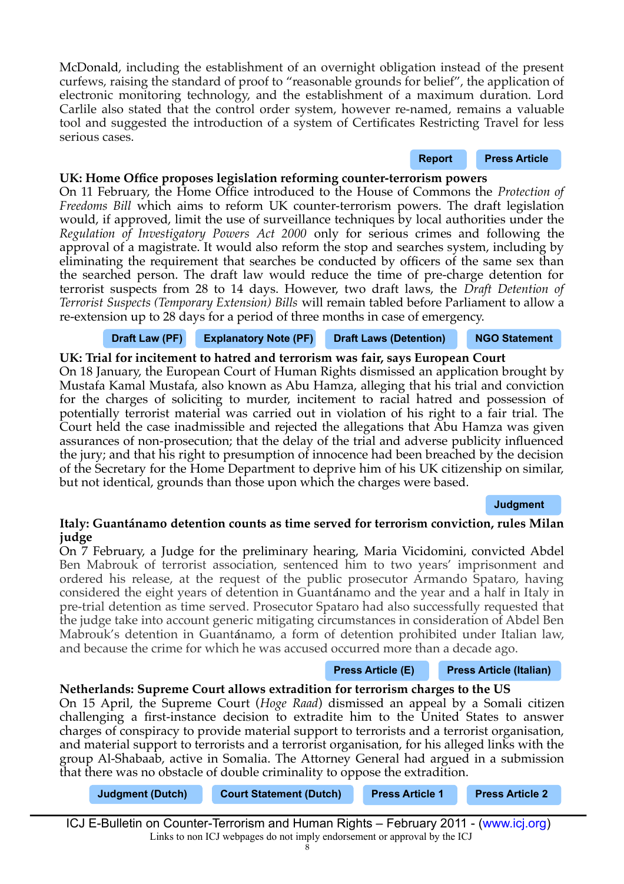McDonald, including the establishment of an overnight obligation instead of the present curfews, raising the standard of proof to "reasonable grounds for belief", the application of electronic monitoring technology, and the establishment of a maximum duration. Lord Carlile also stated that the control order system, however re-named, remains a valuable tool and suggested the introduction of a system of Certifcates Restricting Travel for less serious cases.

#### UK: Home Office proposes legislation reforming counter-terrorism powers

On 11 February, the Home Offce introduced to the House of Commons the *Protection of Freedoms Bill* which aims to reform UK counter-terrorism powers. The draft legislation would, if approved, limit the use of surveillance techniques by local authorities under the *Regulation of Investigatory Powers Act 2000* only for serious crimes and following the approval of a magistrate. It would also reform the stop and searches system, including by eliminating the requirement that searches be conducted by officers of the same sex than the searched person. The draft law would reduce the time of pre-charge detention for terrorist suspects from 28 to 14 days. However, two draft laws, the *Draft Detention of Terrorist Suspects (Temporary Extension) Bills* will remain tabled before Parliament to allow a re-extension up to 28 days for a period of three months in case of emergency.

#### **[Draft Law \(PF\)](http://www.publications.parliament.uk/pa/bills/cbill/2010-2011/0146/cbill_2010-20110146_en_1.htm) [Explanatory Note \(PF\)](http://www.publications.parliament.uk/pa/cm201011/cmbills/146/en/11146en.htm) [Draft Laws \(Detention\)](http://www.homeoffice.gov.uk/publications/counter-terrorism/draft-detention-terrorist-bills?view=Binary) [NGO Statement](http://www.hrw.org/en/news/2011/02/11/uk-proposed-counterterrorism-reforms-fall-short?print)**

**UK: Trial for incitement to hatred and terrorism was fair, says European Court**  On 18 January, the European Court of Human Rights dismissed an application brought by Mustafa Kamal Mustafa, also known as Abu Hamza, alleging that his trial and conviction for the charges of soliciting to murder, incitement to racial hatred and possession of potentially terrorist material was carried out in violation of his right to a fair trial. The Court held the case inadmissible and rejected the allegations that Abu Hamza was given assurances of non-prosecution; that the delay of the trial and adverse publicity infuenced the jury; and that his right to presumption of innocence had been breached by the decision of the Secretary for the Home Department to deprive him of his UK citizenship on similar, but not identical, grounds than those upon which the charges were based.

#### **[Judgment](http://www.bailii.org/eu/cases/ECHR/2011/211.html)**

**[Report](http://www.homeoffice.gov.uk/publications/counter-terrorism/independent-reviews/lord-carlile-sixth-report?view=Binary) [Press Article](http://www.bbc.co.uk/news/uk-politics-12356563)**

# **Italy: Guantánamo detention counts as time served for terrorism conviction, rules Milan judge**

On 7 February, a Judge for the preliminary hearing, Maria Vicidomini, convicted Abdel Ben Mabrouk of terrorist association, sentenced him to two years' imprisonment and ordered his release, at the request of the public prosecutor Armando Spataro, having considered the eight years of detention in Guantánamo and the year and a half in Italy in pre-trial detention as time served. Prosecutor Spataro had also successfully requested that the judge take into account generic mitigating circumstances in consideration of Abdel Ben Mabrouk's detention in Guantánamo, a form of detention prohibited under Italian law, and because the crime for which he was accused occurred more than a decade ago.

#### **[Press Article \(E\)](http://www.google.com/hostednews/canadianpress/article/ALeqM5jz4zJK7F7vfuE37ZMCiIlJszEWbQ?docId=5879028) [Press Article \(Italian\)](http://www.adnkronos.com/IGN/News/Cronaca/Terrorismo-gup-Milano-condanna-a-2-anni-tunisino-Guantanamo-e-lo-scarcera_311649071541.html)**

# **Netherlands: Supreme Court allows extradition for terrorism charges to the US**

On 15 April, the Supreme Court (*Hoge Raad*) dismissed an appeal by a Somali citizen challenging a frst-instance decision to extradite him to the United States to answer charges of conspiracy to provide material support to terrorists and a terrorist organisation, and material support to terrorists and a terrorist organisation, for his alleged links with the group Al-Shabaab, active in Somalia. The Attorney General had argued in a submission that there was no obstacle of double criminality to oppose the extradition.

| <b>Judgment (Dutch)</b> | <b>Court Statement (Dutch)</b> | <b>Press Article 1</b> | <b>Press Article 2</b> |
|-------------------------|--------------------------------|------------------------|------------------------|
|                         |                                |                        |                        |

ICJ E-Bulletin on Counter-Terrorism and Human Rights – February 2011 - [\(www.icj.org\)](http://www.icj.org/) Links to non ICJ webpages do not imply endorsement or approval by the ICJ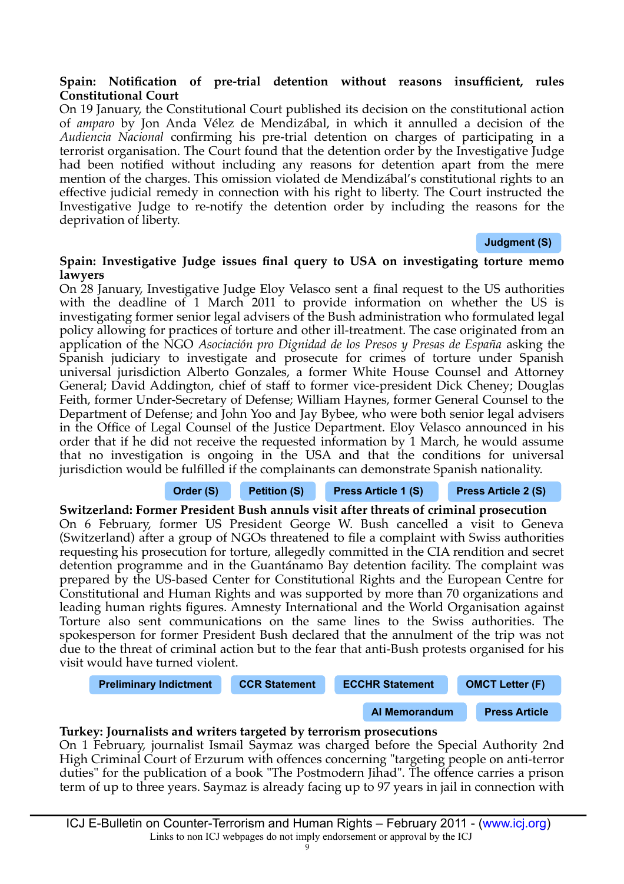#### Spain: Notification of pre-trial detention without reasons insufficient, rules **Constitutional Court**

On 19 January, the Constitutional Court published its decision on the constitutional action of *amparo* by Jon Anda Vélez de Mendizábal, in which it annulled a decision of the *Audiencia Nacional* confrming his pre-trial detention on charges of participating in a terrorist organisation. The Court found that the detention order by the Investigative Judge had been notifed without including any reasons for detention apart from the mere mention of the charges. This omission violated de Mendizábal's constitutional rights to an effective judicial remedy in connection with his right to liberty. The Court instructed the Investigative Judge to re-notify the detention order by including the reasons for the deprivation of liberty.

**[Judgment \(S\)](http://www.tribunalconstitucional.es/en/jurisprudencia/Pages/Sentencia.aspx?cod=10051)**

#### **Spain: Investigative Judge issues fnal query to USA on investigating torture memo lawyers**

On 28 January, Investigative Judge Eloy Velasco sent a fnal request to the US authorities with the deadline of 1 March 2011 to provide information on whether the US is investigating former senior legal advisers of the Bush administration who formulated legal policy allowing for practices of torture and other ill-treatment. The case originated from an application of the NGO *Asociación pro Dignidad de los Presos y Presas de España* asking the Spanish judiciary to investigate and prosecute for crimes of torture under Spanish universal jurisdiction Alberto Gonzales, a former White House Counsel and Attorney General; David Addington, chief of staff to former vice-president Dick Cheney; Douglas Feith, former Under-Secretary of Defense; William Haynes, former General Counsel to the Department of Defense; and John Yoo and Jay Bybee, who were both senior legal advisers in the Office of Legal Counsel of the Justice Department. Eloy Velasco announced in his order that if he did not receive the requested information by 1 March, he would assume that no investigation is ongoing in the USA and that the conditions for universal jurisdiction would be fulflled if the complainants can demonstrate Spanish nationality.

# **[Order \(S\)](http://ccrjustice.org/files/Order%2028%20January%202011%20Spanish.pdf) [Petition \(S\)](http://imagenes.publico.es/resources/archivos/2009/3/27/1238184153397QUERELLA_VERSION_FINAL.pdf) [Press Article 1 \(S\)](http://www.larioja.com/agencias/20110128/mas-actualidad/espana/velasco-vuelve-preguntar-eeuu-esta_201101281410.html) [Press Article 2 \(S\)](http://www.abc.es/agencias/noticia.asp?noticia=690896)**

**Switzerland: Former President Bush annuls visit after threats of criminal prosecution** On 6 February, former US President George W. Bush cancelled a visit to Geneva (Switzerland) after a group of NGOs threatened to fle a complaint with Swiss authorities requesting his prosecution for torture, allegedly committed in the CIA rendition and secret detention programme and in the Guantánamo Bay detention facility. The complaint was prepared by the US-based Center for Constitutional Rights and the European Centre for Constitutional and Human Rights and was supported by more than 70 organizations and leading human rights fgures. Amnesty International and the World Organisation against Torture also sent communications on the same lines to the Swiss authorities. The spokesperson for former President Bush declared that the annulment of the trip was not due to the threat of criminal action but to the fear that anti-Bush protests organised for his visit would have turned violent.

**[Preliminary Indictment](http://www.statewatch.org/news/2011/feb/switzerland-bush-indictment.pdf) [CCR Statement](http://www.ccrjustice.org/newsroom/press-releases/human-rights-groups-announce-bush-indictment-convention-against-torture-sign) [ECCHR Statement](http://www.ecchr.de/us_accountability/articles/ecchr-and-ccr-announce-bush-indictment-for-convention-against-torture-signatory-states.html) [OMCT Letter \(F\)](http://www.omct.org/fr/assistance-to-victims/switzerland/2011/02/d21064/)**

**[AI Memorandum](http://amnesty.org/en/library/asset/AMR51/009/2011/en/092dc56a-5567-4452-a6a3-fc23767731d2/amr510092011en.pdf) [Press Article](http://www.guardian.co.uk/law/2011/feb/06/george-bush-trip-to-switzerland)**

# **Turkey: Journalists and writers targeted by terrorism prosecutions**

On 1 February, journalist Ismail Saymaz was charged before the Special Authority 2nd High Criminal Court of Erzurum with offences concerning "targeting people on anti-terror duties" for the publication of a book "The Postmodern Jihad". The offence carries a prison term of up to three years. Saymaz is already facing up to 97 years in jail in connection with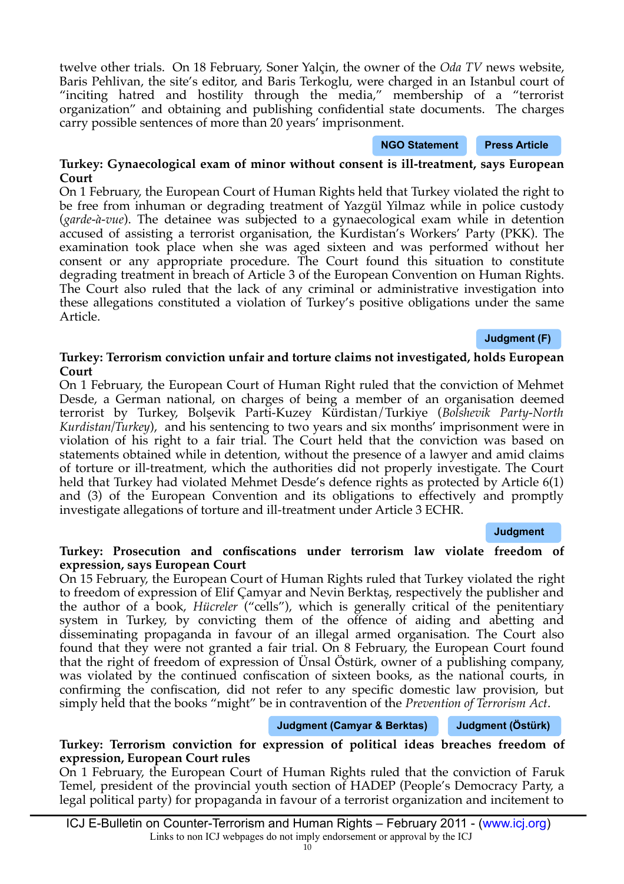ICJ E-Bulletin on Counter-Terrorism and Human Rights – February 2011 - [\(www.icj.org\)](http://www.icj.org/) Links to non ICJ webpages do not imply endorsement or approval by the ICJ 10

twelve other trials. On 18 February, Soner Yalçin, the owner of the *Oda TV* news website, Baris Pehlivan, the site's editor, and Baris Terkoglu, were charged in an Istanbul court of "inciting hatred and hostility through the media," membership of a "terrorist organization" and obtaining and publishing confdential state documents. The charges carry possible sentences of more than 20 years' imprisonment.

#### **Turkey: Gynaecological exam of minor without consent is ill-treatment, says European Court**

On 1 February, the European Court of Human Rights held that Turkey violated the right to be free from inhuman or degrading treatment of Yazgül Yilmaz while in police custody (*garde-à-vue*). The detainee was subjected to a gynaecological exam while in detention accused of assisting a terrorist organisation, the Kurdistan's Workers' Party (PKK). The examination took place when she was aged sixteen and was performed without her consent or any appropriate procedure. The Court found this situation to constitute degrading treatment in breach of Article 3 of the European Convention on Human Rights. The Court also ruled that the lack of any criminal or administrative investigation into these allegations constituted a violation of Turkey's positive obligations under the same Article.

# **Turkey: Terrorism conviction unfair and torture claims not investigated, holds European Court**

On 1 February, the European Court of Human Right ruled that the conviction of Mehmet Desde, a German national, on charges of being a member of an organisation deemed terrorist by Turkey, Bolşevik Parti-Kuzey Kürdistan/Turkiye (*Bolshevik Party-North Kurdistan/Turkey*), and his sentencing to two years and six months' imprisonment were in violation of his right to a fair trial. The Court held that the conviction was based on statements obtained while in detention, without the presence of a lawyer and amid claims of torture or ill-treatment, which the authorities did not properly investigate. The Court held that Turkey had violated Mehmet Desde's defence rights as protected by Article 6(1) and (3) of the European Convention and its obligations to effectively and promptly investigate allegations of torture and ill-treatment under Article 3 ECHR.

# **[Judgment](http://www.icj.org/img/DESDE_v._TURKEY.pdf)**

# **Turkey: Prosecution and confscations under terrorism law violate freedom of expression, says European Court**

On 15 February, the European Court of Human Rights ruled that Turkey violated the right to freedom of expression of Elif Çamyar and Nevin Berktaş, respectively the publisher and the author of a book, *Hücreler* ("cells"), which is generally critical of the penitentiary system in Turkey, by convicting them of the offence of aiding and abetting and disseminating propaganda in favour of an illegal armed organisation. The Court also found that they were not granted a fair trial. On 8 February, the European Court found that the right of freedom of expression of Ünsal Östürk, owner of a publishing company, was violated by the continued confscation of sixteen books, as the national courts, in confrming the confscation, did not refer to any specifc domestic law provision, but simply held that the books "might" be in contravention of the *Prevention of Terrorism Act*.

# **[Judgment \(Camyar & Berktas\)](http://www.icj.org/img/CAMYAR_AND_BERKTAS_v._TURKEY.pdf) [Judgment \(Östürk\)](http://www.icj.org/img/OZTURK_v._TURKEY_(No.2).pdf)**

# **Turkey: Terrorism conviction for expression of political ideas breaches freedom of expression, European Court rules**

On 1 February, the European Court of Human Rights ruled that the conviction of Faruk Temel, president of the provincial youth section of HADEP (People's Democracy Party, a legal political party) for propaganda in favour of a terrorist organization and incitement to

**[Judgment \(F\)](http://cmiskp.echr.coe.int/tkp197/view.asp?action=html&documentId=880762&portal=hbkm&source=externalbydocnumber&table=F69A27FD8FB86142BF01C1166DEA398649)**

**[NGO Statement](http://en.rsf.org/turkey-three-online-journalists-jailed-in-18-02-2011,39590.html) [Press Article](http://www.ifex.org/turkey/2011/02/01/saymaz_trials/)**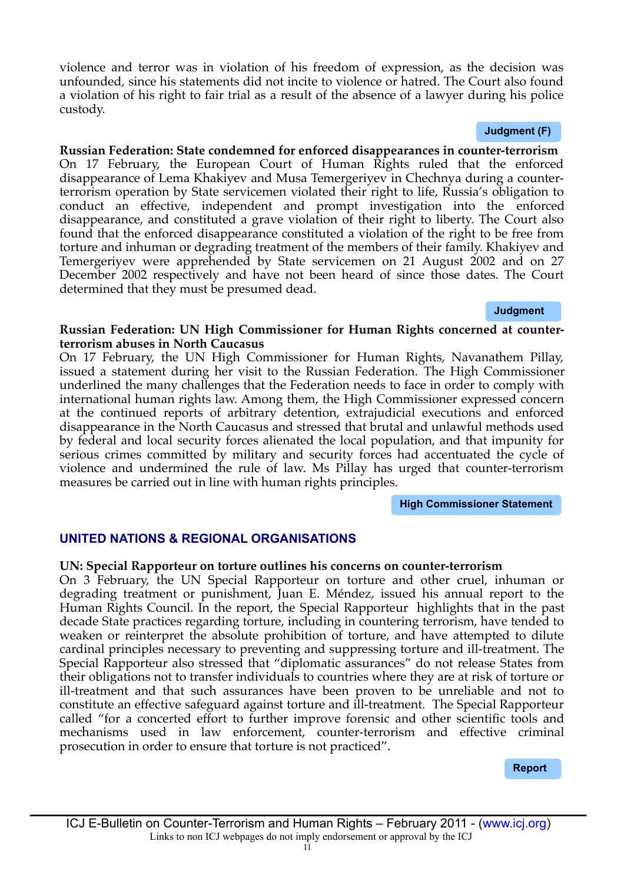ICJ E-Bulletin on Counter-Terrorism and Human Rights – February 2011 - [\(www.icj.org\)](http://www.icj.org/) Links to non ICJ webpages do not imply endorsement or approval by the ICJ

violence and terror was in violation of his freedom of expression, as the decision was unfounded, since his statements did not incite to violence or hatred. The Court also found a violation of his right to fair trial as a result of the absence of a lawyer during his police custody.

#### **[Judgment \(F\)](http://www.icj.org/img/TEMEL_c._TURQUIE.pdf)**

**Russian Federation: State condemned for enforced disappearances in counter-terrorism** On 17 February, the European Court of Human Rights ruled that the enforced disappearance of Lema Khakiyev and Musa Temergeriyev in Chechnya during a counterterrorism operation by State servicemen violated their right to life, Russia's obligation to conduct an effective, independent and prompt investigation into the enforced disappearance, and constituted a grave violation of their right to liberty. The Court also found that the enforced disappearance constituted a violation of the right to be free from torture and inhuman or degrading treatment of the members of their family. Khakiyev and Temergeriyev were apprehended by State servicemen on 21 August 2002 and on 27 December 2002 respectively and have not been heard of since those dates. The Court determined that they must be presumed dead.

#### **[Judgment](http://cmiskp.echr.coe.int/tkp197/view.asp?action=html&documentId=881744&portal=hbkm&source=externalbydocnumber&table=F69A27FD8FB86142BF01C1166DEA398649)**

#### **Russian Federation: UN High Commissioner for Human Rights concerned at counterterrorism abuses in North Caucasus**

On 17 February, the UN High Commissioner for Human Rights, Navanathem Pillay, issued a statement during her visit to the Russian Federation. The High Commissioner underlined the many challenges that the Federation needs to face in order to comply with international human rights law. Among them, the High Commissioner expressed concern at the continued reports of arbitrary detention, extrajudicial executions and enforced disappearance in the North Caucasus and stressed that brutal and unlawful methods used by federal and local security forces alienated the local population, and that impunity for serious crimes committed by military and security forces had accentuated the cycle of violence and undermined the rule of law. Ms Pillay has urged that counter-terrorism measures be carried out in line with human rights principles.

**[High Commissioner Statement](http://www.ohchr.org/EN/NewsEvents/Pages/DisplayNews.aspx?NewsID=10734&LangID=E)**

# **UNITED NATIONS & REGIONAL ORGANISATIONS**

#### **UN: Special Rapporteur on torture outlines his concerns on counter-terrorism**

On 3 February, the UN Special Rapporteur on torture and other cruel, inhuman or degrading treatment or punishment, Juan E. Méndez, issued his annual report to the Human Rights Council. In the report, the Special Rapporteur highlights that in the past decade State practices regarding torture, including in countering terrorism, have tended to weaken or reinterpret the absolute prohibition of torture, and have attempted to dilute cardinal principles necessary to preventing and suppressing torture and ill-treatment. The Special Rapporteur also stressed that "diplomatic assurances" do not release States from their obligations not to transfer individuals to countries where they are at risk of torture or ill-treatment and that such assurances have been proven to be unreliable and not to constitute an effective safeguard against torture and ill-treatment. The Special Rapporteur called "for a concerted effort to further improve forensic and other scientifc tools and mechanisms used in law enforcement, counter-terrorism and effective criminal prosecution in order to ensure that torture is not practiced".

#### **[Report](http://www2.ohchr.org/english/bodies/hrcouncil/docs/16session/A.HRC.16.52.pdf)**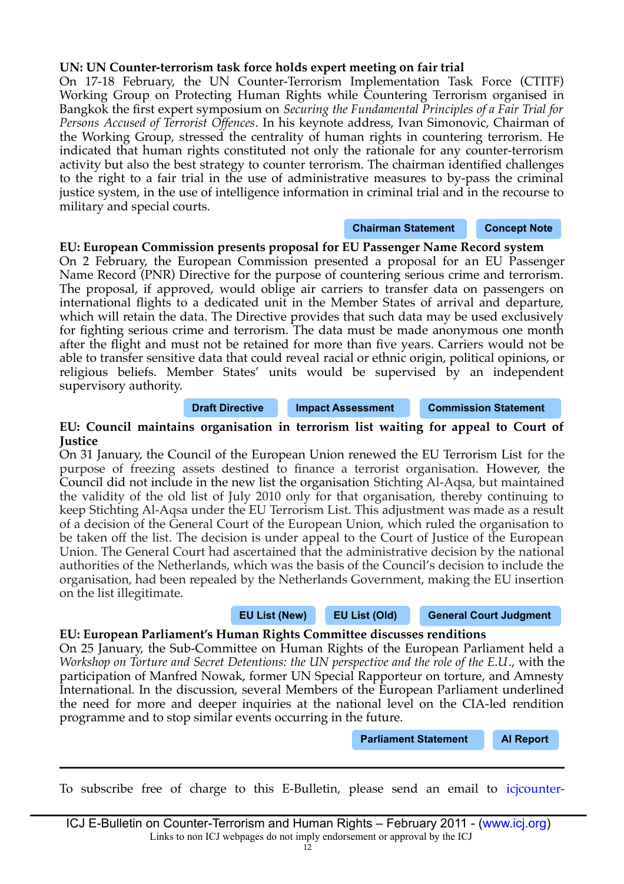# **UN: UN Counter-terrorism task force holds expert meeting on fair trial**

On 17-18 February, the UN Counter-Terrorism Implementation Task Force (CTITF) Working Group on Protecting Human Rights while Countering Terrorism organised in Bangkok the frst expert symposium on *Securing the Fundamental Principles of a Fair Trial for Persons Accused of Terrorist Offences*. In his keynote address, Ivan Simonovic, Chairman of the Working Group, stressed the centrality of human rights in countering terrorism. He indicated that human rights constituted not only the rationale for any counter-terrorism activity but also the best strategy to counter terrorism. The chairman identifed challenges to the right to a fair trial in the use of administrative measures to by-pass the criminal justice system, in the use of intelligence information in criminal trial and in the recourse to military and special courts.

#### **[Chairman Statement](http://www.icj.org/img/CTITFStatement.pdf) [Concept Note](http://www.icj.org/img/CTITFConceptNote.pdf)**

**EU: European Commission presents proposal for EU Passenger Name Record system**

On 2 February, the European Commission presented a proposal for an EU Passenger Name Record (PNR) Directive for the purpose of countering serious crime and terrorism. The proposal, if approved, would oblige air carriers to transfer data on passengers on international fights to a dedicated unit in the Member States of arrival and departure, which will retain the data. The Directive provides that such data may be used exclusively for fghting serious crime and terrorism. The data must be made anonymous one month after the fight and must not be retained for more than fve years. Carriers would not be able to transfer sensitive data that could reveal racial or ethnic origin, political opinions, or religious beliefs. Member States' units would be supervised by an independent supervisory authority.

**[Draft Directive](http://ec.europa.eu/home-affairs/news/intro/docs/com_2011_32_en.pdf) [Impact Assessment](http://register.consilium.europa.eu/pdf/en/11/st06/st06007-ad01.en11.pdf) [Commission Statement](http://europa.eu/rapid/pressReleasesAction.do?reference=IP/11/120&format=HTML&aged=0&language=EN&guiLanguage=en)**

#### **EU: Council maintains organisation in terrorism list waiting for appeal to Court of Justice**

On 31 January, the Council of the European Union renewed the EU Terrorism List for the purpose of freezing assets destined to fnance a terrorist organisation. However, the Council did not include in the new list the organisation Stichting Al-Aqsa, but maintained the validity of the old list of July 2010 only for that organisation, thereby continuing to keep Stichting Al-Aqsa under the EU Terrorism List. This adjustment was made as a result of a decision of the General Court of the European Union, which ruled the organisation to be taken off the list. The decision is under appeal to the Court of Justice of the European Union. The General Court had ascertained that the administrative decision by the national authorities of the Netherlands, which was the basis of the Council's decision to include the organisation, had been repealed by the Netherlands Government, making the EU insertion on the list illegitimate.

#### **[EU List \(New\)](http://eur-lex.europa.eu/LexUriServ/LexUriServ.do?uri=OJ:L:2011:028:0057:0059:EN:PDF) [EU List \(Old\)](http://eur-lex.europa.eu/LexUriServ/LexUriServ.do?uri=OJ:L:2010:178:0028:0030:EN:PDF) [General Court Judgment](http://www.icj.org/img/AlAqsaJudgmentGCEU.pdf)**

#### **EU: European Parliament's Human Rights Committee discusses renditions**

On 25 January, the Sub-Committee on Human Rights of the European Parliament held a *Workshop on Torture and Secret Detentions: the UN perspective and the role of the E.U*., with the participation of Manfred Nowak, former UN Special Rapporteur on torture, and Amnesty International. In the discussion, several Members of the European Parliament underlined the need for more and deeper inquiries at the national level on the CIA-led rendition programme and to stop similar events occurring in the future.

**[Parliament Statement](http://www.statewatch.org/news/2011/jan/ep-rendition-inquiry-follow-up-prel.pdf) [AI Report](http://www.amnesty.org/en/library/asset/EUR01/023/2010/en/3a3fdac5-08da-4dfc-9f94-afa8b83c6848/eur010232010en.pdf)**

To subscribe free of charge to this E-Bulletin, please send an email to [icjcounter-](mailto:icjcounter-terrorism@icj.org)